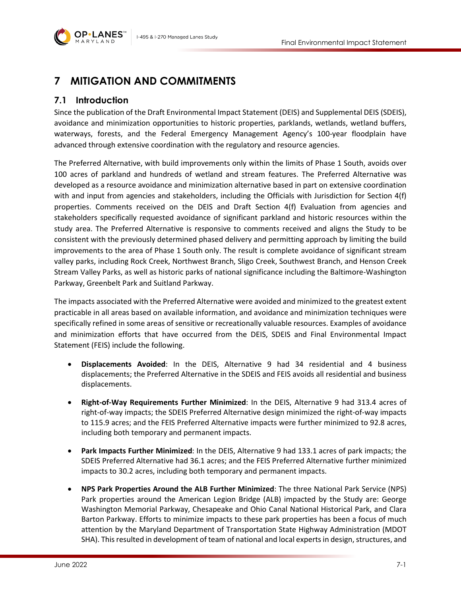

## **7 MITIGATION AND COMMITMENTS**

## **7.1 Introduction**

Since the publication of the Draft Environmental Impact Statement (DEIS) and Supplemental DEIS (SDEIS), avoidance and minimization opportunities to historic properties, parklands, wetlands, wetland buffers, waterways, forests, and the Federal Emergency Management Agency's 100-year floodplain have advanced through extensive coordination with the regulatory and resource agencies.

The Preferred Alternative, with build improvements only within the limits of Phase 1 South, avoids over 100 acres of parkland and hundreds of wetland and stream features. The Preferred Alternative was developed as a resource avoidance and minimization alternative based in part on extensive coordination with and input from agencies and stakeholders, including the Officials with Jurisdiction for Section 4(f) properties. Comments received on the DEIS and Draft Section 4(f) Evaluation from agencies and stakeholders specifically requested avoidance of significant parkland and historic resources within the study area. The Preferred Alternative is responsive to comments received and aligns the Study to be consistent with the previously determined phased delivery and permitting approach by limiting the build improvements to the area of Phase 1 South only. The result is complete avoidance of significant stream valley parks, including Rock Creek, Northwest Branch, Sligo Creek, Southwest Branch, and Henson Creek Stream Valley Parks, as well as historic parks of national significance including the Baltimore-Washington Parkway, Greenbelt Park and Suitland Parkway.

The impacts associated with the Preferred Alternative were avoided and minimized to the greatest extent practicable in all areas based on available information, and avoidance and minimization techniques were specifically refined in some areas of sensitive or recreationally valuable resources. Examples of avoidance and minimization efforts that have occurred from the DEIS, SDEIS and Final Environmental Impact Statement (FEIS) include the following.

- **Displacements Avoided**: In the DEIS, Alternative 9 had 34 residential and 4 business displacements; the Preferred Alternative in the SDEIS and FEIS avoids all residential and business displacements.
- **Right-of-Way Requirements Further Minimized**: In the DEIS, Alternative 9 had 313.4 acres of right-of-way impacts; the SDEIS Preferred Alternative design minimized the right-of-way impacts to 115.9 acres; and the FEIS Preferred Alternative impacts were further minimized to 92.8 acres, including both temporary and permanent impacts.
- **Park Impacts Further Minimized**: In the DEIS, Alternative 9 had 133.1 acres of park impacts; the SDEIS Preferred Alternative had 36.1 acres; and the FEIS Preferred Alternative further minimized impacts to 30.2 acres, including both temporary and permanent impacts.
- **NPS Park Properties Around the ALB Further Minimized**: The three National Park Service (NPS) Park properties around the American Legion Bridge (ALB) impacted by the Study are: George Washington Memorial Parkway, Chesapeake and Ohio Canal National Historical Park, and Clara Barton Parkway. Efforts to minimize impacts to these park properties has been a focus of much attention by the Maryland Department of Transportation State Highway Administration (MDOT SHA). This resulted in development of team of national and local experts in design, structures, and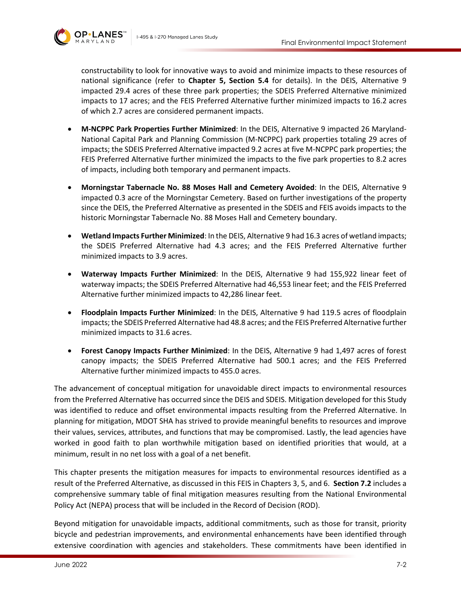

constructability to look for innovative ways to avoid and minimize impacts to these resources of national significance (refer to **Chapter 5, Section 5.4** for details). In the DEIS, Alternative 9 impacted 29.4 acres of these three park properties; the SDEIS Preferred Alternative minimized impacts to 17 acres; and the FEIS Preferred Alternative further minimized impacts to 16.2 acres of which 2.7 acres are considered permanent impacts.

- **M-NCPPC Park Properties Further Minimized**: In the DEIS, Alternative 9 impacted 26 Maryland-National Capital Park and Planning Commission (M-NCPPC) park properties totaling 29 acres of impacts; the SDEIS Preferred Alternative impacted 9.2 acres at five M-NCPPC park properties; the FEIS Preferred Alternative further minimized the impacts to the five park properties to 8.2 acres of impacts, including both temporary and permanent impacts.
- **Morningstar Tabernacle No. 88 Moses Hall and Cemetery Avoided**: In the DEIS, Alternative 9 impacted 0.3 acre of the Morningstar Cemetery. Based on further investigations of the property since the DEIS, the Preferred Alternative as presented in the SDEIS and FEIS avoids impacts to the historic Morningstar Tabernacle No. 88 Moses Hall and Cemetery boundary.
- **Wetland Impacts Further Minimized**: In the DEIS, Alternative 9 had 16.3 acres of wetland impacts; the SDEIS Preferred Alternative had 4.3 acres; and the FEIS Preferred Alternative further minimized impacts to 3.9 acres.
- **Waterway Impacts Further Minimized**: In the DEIS, Alternative 9 had 155,922 linear feet of waterway impacts; the SDEIS Preferred Alternative had 46,553 linear feet; and the FEIS Preferred Alternative further minimized impacts to 42,286 linear feet.
- **Floodplain Impacts Further Minimized**: In the DEIS, Alternative 9 had 119.5 acres of floodplain impacts; the SDEIS Preferred Alternative had 48.8 acres; and the FEIS Preferred Alternative further minimized impacts to 31.6 acres.
- **Forest Canopy Impacts Further Minimized**: In the DEIS, Alternative 9 had 1,497 acres of forest canopy impacts; the SDEIS Preferred Alternative had 500.1 acres; and the FEIS Preferred Alternative further minimized impacts to 455.0 acres.

The advancement of conceptual mitigation for unavoidable direct impacts to environmental resources from the Preferred Alternative has occurred since the DEIS and SDEIS. Mitigation developed for this Study was identified to reduce and offset environmental impacts resulting from the Preferred Alternative. In planning for mitigation, MDOT SHA has strived to provide meaningful benefits to resources and improve their values, services, attributes, and functions that may be compromised. Lastly, the lead agencies have worked in good faith to plan worthwhile mitigation based on identified priorities that would, at a minimum, result in no net loss with a goal of a net benefit.

This chapter presents the mitigation measures for impacts to environmental resources identified as a result of the Preferred Alternative, as discussed in this FEIS in Chapters 3, 5, and 6. **Section [7.2](#page-3-0)** includes a comprehensive summary table of final mitigation measures resulting from the National Environmental Policy Act (NEPA) process that will be included in the Record of Decision (ROD).

Beyond mitigation for unavoidable impacts, additional commitments, such as those for transit, priority bicycle and pedestrian improvements, and environmental enhancements have been identified through extensive coordination with agencies and stakeholders. These commitments have been identified in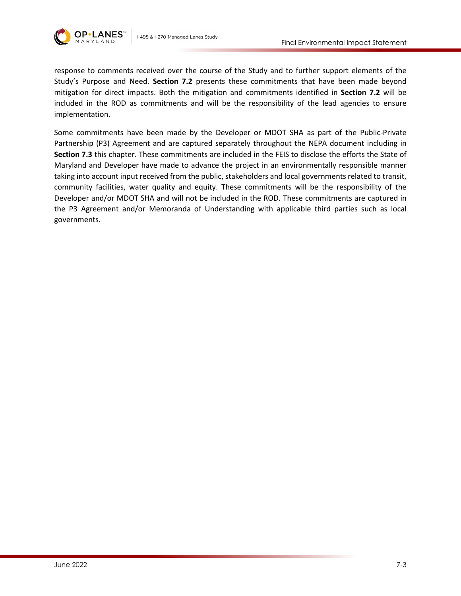

response to comments received over the course of the Study and to further support elements of the Study's Purpose and Need. **Section [7.2](#page-3-0)** presents these commitments that have been made beyond mitigation for direct impacts. Both the mitigation and commitments identified in **Section [7.2](#page-3-0)** will be included in the ROD as commitments and will be the responsibility of the lead agencies to ensure implementation.

Some commitments have been made by the Developer or MDOT SHA as part of the Public-Private Partnership (P3) Agreement and are captured separately throughout the NEPA document including in **Section [7.3](#page-21-0)** this chapter. These commitments are included in the FEIS to disclose the efforts the State of Maryland and Developer have made to advance the project in an environmentally responsible manner taking into account input received from the public, stakeholders and local governments related to transit, community facilities, water quality and equity. These commitments will be the responsibility of the Developer and/or MDOT SHA and will not be included in the ROD. These commitments are captured in the P3 Agreement and/or Memoranda of Understanding with applicable third parties such as local governments.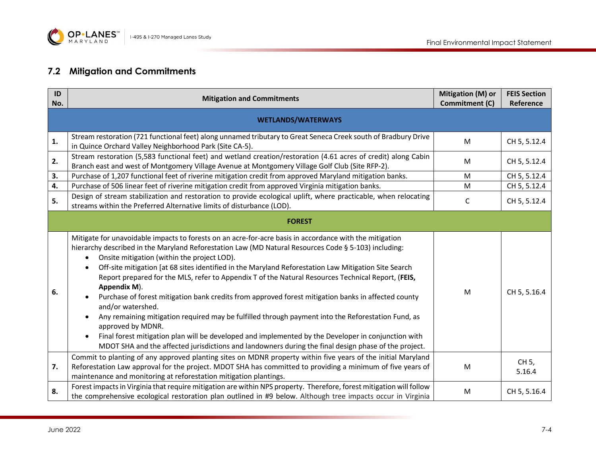

## **7.2 Mitigation and Commitments**

<span id="page-3-0"></span>

| ID<br>No. | <b>Mitigation and Commitments</b>                                                                                                                                                                                                                                                                                                                                                                                                                                                                                                                                                                                                                                                                                                                                                                                                                                                                                                                                                            | Mitigation (M) or<br>Commitment (C) | <b>FEIS Section</b><br>Reference |  |  |
|-----------|----------------------------------------------------------------------------------------------------------------------------------------------------------------------------------------------------------------------------------------------------------------------------------------------------------------------------------------------------------------------------------------------------------------------------------------------------------------------------------------------------------------------------------------------------------------------------------------------------------------------------------------------------------------------------------------------------------------------------------------------------------------------------------------------------------------------------------------------------------------------------------------------------------------------------------------------------------------------------------------------|-------------------------------------|----------------------------------|--|--|
|           | <b>WETLANDS/WATERWAYS</b>                                                                                                                                                                                                                                                                                                                                                                                                                                                                                                                                                                                                                                                                                                                                                                                                                                                                                                                                                                    |                                     |                                  |  |  |
| 1.        | Stream restoration (721 functional feet) along unnamed tributary to Great Seneca Creek south of Bradbury Drive<br>in Quince Orchard Valley Neighborhood Park (Site CA-5).                                                                                                                                                                                                                                                                                                                                                                                                                                                                                                                                                                                                                                                                                                                                                                                                                    | M                                   | CH 5, 5.12.4                     |  |  |
| 2.        | Stream restoration (5,583 functional feet) and wetland creation/restoration (4.61 acres of credit) along Cabin<br>Branch east and west of Montgomery Village Avenue at Montgomery Village Golf Club (Site RFP-2).                                                                                                                                                                                                                                                                                                                                                                                                                                                                                                                                                                                                                                                                                                                                                                            | M                                   | CH 5, 5.12.4                     |  |  |
| 3.        | Purchase of 1,207 functional feet of riverine mitigation credit from approved Maryland mitigation banks.                                                                                                                                                                                                                                                                                                                                                                                                                                                                                                                                                                                                                                                                                                                                                                                                                                                                                     | M                                   | CH 5, 5.12.4                     |  |  |
| 4.        | Purchase of 506 linear feet of riverine mitigation credit from approved Virginia mitigation banks.                                                                                                                                                                                                                                                                                                                                                                                                                                                                                                                                                                                                                                                                                                                                                                                                                                                                                           | M                                   | CH 5, 5.12.4                     |  |  |
| 5.        | Design of stream stabilization and restoration to provide ecological uplift, where practicable, when relocating<br>streams within the Preferred Alternative limits of disturbance (LOD).                                                                                                                                                                                                                                                                                                                                                                                                                                                                                                                                                                                                                                                                                                                                                                                                     | $\mathsf{C}$                        | CH 5, 5.12.4                     |  |  |
|           | <b>FOREST</b>                                                                                                                                                                                                                                                                                                                                                                                                                                                                                                                                                                                                                                                                                                                                                                                                                                                                                                                                                                                |                                     |                                  |  |  |
| 6.        | Mitigate for unavoidable impacts to forests on an acre-for-acre basis in accordance with the mitigation<br>hierarchy described in the Maryland Reforestation Law (MD Natural Resources Code § 5-103) including:<br>Onsite mitigation (within the project LOD).<br>$\bullet$<br>Off-site mitigation [at 68 sites identified in the Maryland Reforestation Law Mitigation Site Search<br>$\bullet$<br>Report prepared for the MLS, refer to Appendix T of the Natural Resources Technical Report, (FEIS,<br>Appendix M).<br>Purchase of forest mitigation bank credits from approved forest mitigation banks in affected county<br>and/or watershed.<br>Any remaining mitigation required may be fulfilled through payment into the Reforestation Fund, as<br>approved by MDNR.<br>Final forest mitigation plan will be developed and implemented by the Developer in conjunction with<br>MDOT SHA and the affected jurisdictions and landowners during the final design phase of the project. | M                                   | CH 5, 5.16.4                     |  |  |
| 7.        | Commit to planting of any approved planting sites on MDNR property within five years of the initial Maryland<br>Reforestation Law approval for the project. MDOT SHA has committed to providing a minimum of five years of<br>maintenance and monitoring at reforestation mitigation plantings.                                                                                                                                                                                                                                                                                                                                                                                                                                                                                                                                                                                                                                                                                              | M                                   | CH 5,<br>5.16.4                  |  |  |
| 8.        | Forest impacts in Virginia that require mitigation are within NPS property. Therefore, forest mitigation will follow<br>the comprehensive ecological restoration plan outlined in #9 below. Although tree impacts occur in Virginia                                                                                                                                                                                                                                                                                                                                                                                                                                                                                                                                                                                                                                                                                                                                                          | M                                   | CH 5, 5.16.4                     |  |  |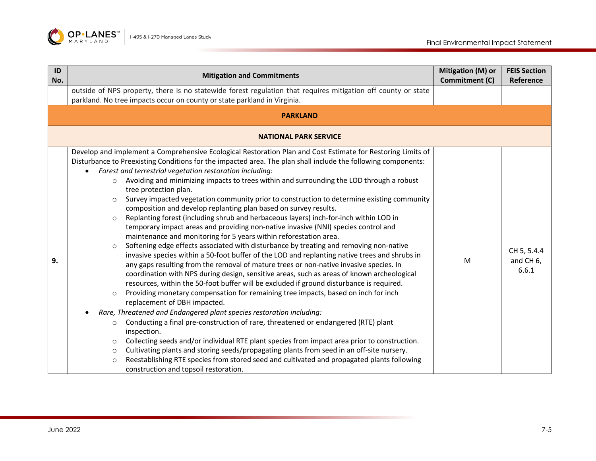

| ID<br>No. | <b>Mitigation and Commitments</b>                                                                                                                                                                                                                                                                                                                                                                                                                                                                                                                                                                                                                                                                                                                                                                                                                                                                                                                                                                                                                                                                                                                                                                                                                                                                                                                                                                                                                                                                                                                                                                                                                                                                                                                                                                                                                                                                                                                                                                                                                                         | Mitigation (M) or<br>Commitment (C) | <b>FEIS Section</b><br>Reference  |
|-----------|---------------------------------------------------------------------------------------------------------------------------------------------------------------------------------------------------------------------------------------------------------------------------------------------------------------------------------------------------------------------------------------------------------------------------------------------------------------------------------------------------------------------------------------------------------------------------------------------------------------------------------------------------------------------------------------------------------------------------------------------------------------------------------------------------------------------------------------------------------------------------------------------------------------------------------------------------------------------------------------------------------------------------------------------------------------------------------------------------------------------------------------------------------------------------------------------------------------------------------------------------------------------------------------------------------------------------------------------------------------------------------------------------------------------------------------------------------------------------------------------------------------------------------------------------------------------------------------------------------------------------------------------------------------------------------------------------------------------------------------------------------------------------------------------------------------------------------------------------------------------------------------------------------------------------------------------------------------------------------------------------------------------------------------------------------------------------|-------------------------------------|-----------------------------------|
|           | outside of NPS property, there is no statewide forest regulation that requires mitigation off county or state<br>parkland. No tree impacts occur on county or state parkland in Virginia.                                                                                                                                                                                                                                                                                                                                                                                                                                                                                                                                                                                                                                                                                                                                                                                                                                                                                                                                                                                                                                                                                                                                                                                                                                                                                                                                                                                                                                                                                                                                                                                                                                                                                                                                                                                                                                                                                 |                                     |                                   |
|           | <b>PARKLAND</b>                                                                                                                                                                                                                                                                                                                                                                                                                                                                                                                                                                                                                                                                                                                                                                                                                                                                                                                                                                                                                                                                                                                                                                                                                                                                                                                                                                                                                                                                                                                                                                                                                                                                                                                                                                                                                                                                                                                                                                                                                                                           |                                     |                                   |
|           | <b>NATIONAL PARK SERVICE</b>                                                                                                                                                                                                                                                                                                                                                                                                                                                                                                                                                                                                                                                                                                                                                                                                                                                                                                                                                                                                                                                                                                                                                                                                                                                                                                                                                                                                                                                                                                                                                                                                                                                                                                                                                                                                                                                                                                                                                                                                                                              |                                     |                                   |
| 9.        | Develop and implement a Comprehensive Ecological Restoration Plan and Cost Estimate for Restoring Limits of<br>Disturbance to Preexisting Conditions for the impacted area. The plan shall include the following components:<br>Forest and terrestrial vegetation restoration including:<br>$\bullet$<br>Avoiding and minimizing impacts to trees within and surrounding the LOD through a robust<br>$\circ$<br>tree protection plan.<br>Survey impacted vegetation community prior to construction to determine existing community<br>$\circ$<br>composition and develop replanting plan based on survey results.<br>Replanting forest (including shrub and herbaceous layers) inch-for-inch within LOD in<br>$\circ$<br>temporary impact areas and providing non-native invasive (NNI) species control and<br>maintenance and monitoring for 5 years within reforestation area.<br>Softening edge effects associated with disturbance by treating and removing non-native<br>$\circ$<br>invasive species within a 50-foot buffer of the LOD and replanting native trees and shrubs in<br>any gaps resulting from the removal of mature trees or non-native invasive species. In<br>coordination with NPS during design, sensitive areas, such as areas of known archeological<br>resources, within the 50-foot buffer will be excluded if ground disturbance is required.<br>Providing monetary compensation for remaining tree impacts, based on inch for inch<br>$\circ$<br>replacement of DBH impacted.<br>Rare, Threatened and Endangered plant species restoration including:<br>Conducting a final pre-construction of rare, threatened or endangered (RTE) plant<br>$\circ$<br>inspection.<br>Collecting seeds and/or individual RTE plant species from impact area prior to construction.<br>$\circ$<br>Cultivating plants and storing seeds/propagating plants from seed in an off-site nursery.<br>$\circ$<br>Reestablishing RTE species from stored seed and cultivated and propagated plants following<br>$\Omega$<br>construction and topsoil restoration. | M                                   | CH 5, 5.4.4<br>and CH 6,<br>6.6.1 |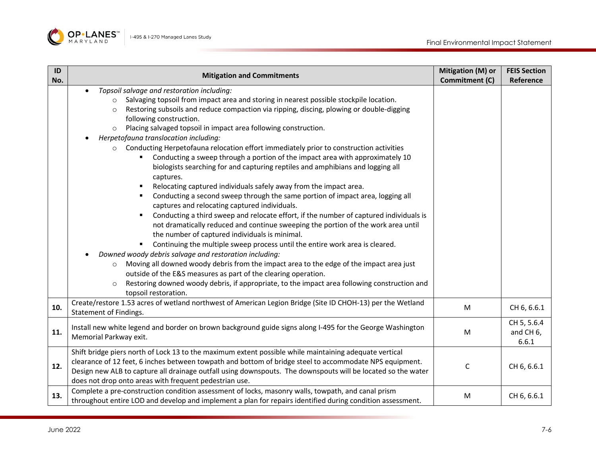

| ID  | <b>Mitigation and Commitments</b>                                                                                                                                                                                                                                                                                                                                                                                                                                                                                                                                                                                                                                                                                                                                                                                                                                                                                                                                                                                                                                                    | <b>Mitigation (M) or</b> | <b>FEIS Section</b>                           |
|-----|--------------------------------------------------------------------------------------------------------------------------------------------------------------------------------------------------------------------------------------------------------------------------------------------------------------------------------------------------------------------------------------------------------------------------------------------------------------------------------------------------------------------------------------------------------------------------------------------------------------------------------------------------------------------------------------------------------------------------------------------------------------------------------------------------------------------------------------------------------------------------------------------------------------------------------------------------------------------------------------------------------------------------------------------------------------------------------------|--------------------------|-----------------------------------------------|
|     |                                                                                                                                                                                                                                                                                                                                                                                                                                                                                                                                                                                                                                                                                                                                                                                                                                                                                                                                                                                                                                                                                      |                          |                                               |
| No. | Topsoil salvage and restoration including:<br>Salvaging topsoil from impact area and storing in nearest possible stockpile location.<br>$\circ$<br>Restoring subsoils and reduce compaction via ripping, discing, plowing or double-digging<br>$\circ$<br>following construction.<br>Placing salvaged topsoil in impact area following construction.<br>$\circ$<br>Herpetofauna translocation including:<br>Conducting Herpetofauna relocation effort immediately prior to construction activities<br>$\circ$<br>Conducting a sweep through a portion of the impact area with approximately 10<br>biologists searching for and capturing reptiles and amphibians and logging all<br>captures.<br>Relocating captured individuals safely away from the impact area.<br>Conducting a second sweep through the same portion of impact area, logging all<br>captures and relocating captured individuals.<br>Conducting a third sweep and relocate effort, if the number of captured individuals is<br>not dramatically reduced and continue sweeping the portion of the work area until | Commitment (C)           | Reference                                     |
|     | the number of captured individuals is minimal.<br>Continuing the multiple sweep process until the entire work area is cleared.<br>Downed woody debris salvage and restoration including:<br>Moving all downed woody debris from the impact area to the edge of the impact area just<br>$\circ$<br>outside of the E&S measures as part of the clearing operation.<br>Restoring downed woody debris, if appropriate, to the impact area following construction and<br>$\circ$<br>topsoil restoration.                                                                                                                                                                                                                                                                                                                                                                                                                                                                                                                                                                                  |                          |                                               |
| 10. | Create/restore 1.53 acres of wetland northwest of American Legion Bridge (Site ID CHOH-13) per the Wetland<br>Statement of Findings.                                                                                                                                                                                                                                                                                                                                                                                                                                                                                                                                                                                                                                                                                                                                                                                                                                                                                                                                                 | M                        | CH 6, 6.6.1                                   |
| 11. | Install new white legend and border on brown background guide signs along I-495 for the George Washington<br>Memorial Parkway exit.                                                                                                                                                                                                                                                                                                                                                                                                                                                                                                                                                                                                                                                                                                                                                                                                                                                                                                                                                  | M                        | CH 5, 5.6.4<br>and CH <sub>6</sub> ,<br>6.6.1 |
| 12. | Shift bridge piers north of Lock 13 to the maximum extent possible while maintaining adequate vertical<br>clearance of 12 feet, 6 inches between towpath and bottom of bridge steel to accommodate NPS equipment.<br>Design new ALB to capture all drainage outfall using downspouts. The downspouts will be located so the water<br>does not drop onto areas with frequent pedestrian use.                                                                                                                                                                                                                                                                                                                                                                                                                                                                                                                                                                                                                                                                                          | C                        | CH 6, 6.6.1                                   |
| 13. | Complete a pre-construction condition assessment of locks, masonry walls, towpath, and canal prism<br>throughout entire LOD and develop and implement a plan for repairs identified during condition assessment.                                                                                                                                                                                                                                                                                                                                                                                                                                                                                                                                                                                                                                                                                                                                                                                                                                                                     | M                        | CH 6, 6.6.1                                   |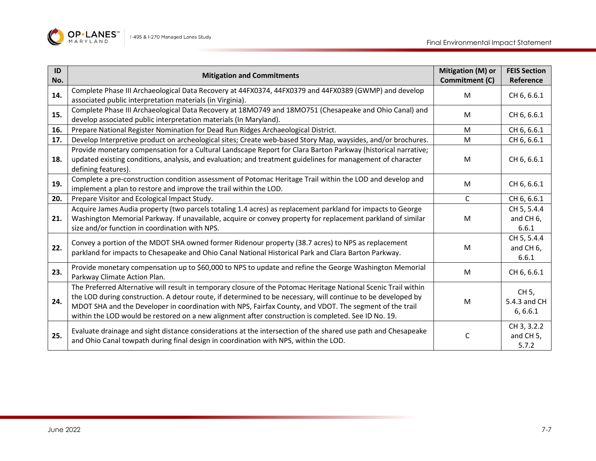

| ID<br>No. | <b>Mitigation and Commitments</b>                                                                                                                                                                                                                                                                                                                                                                                                                 | Mitigation (M) or<br>Commitment (C) | <b>FEIS Section</b><br>Reference              |
|-----------|---------------------------------------------------------------------------------------------------------------------------------------------------------------------------------------------------------------------------------------------------------------------------------------------------------------------------------------------------------------------------------------------------------------------------------------------------|-------------------------------------|-----------------------------------------------|
| 14.       | Complete Phase III Archaeological Data Recovery at 44FX0374, 44FX0379 and 44FX0389 (GWMP) and develop<br>associated public interpretation materials (in Virginia).                                                                                                                                                                                                                                                                                | M                                   | CH 6, 6.6.1                                   |
| 15.       | Complete Phase III Archaeological Data Recovery at 18MO749 and 18MO751 (Chesapeake and Ohio Canal) and<br>develop associated public interpretation materials (In Maryland).                                                                                                                                                                                                                                                                       | M                                   | CH 6, 6.6.1                                   |
| 16.       | Prepare National Register Nomination for Dead Run Ridges Archaeological District.                                                                                                                                                                                                                                                                                                                                                                 | M                                   | CH 6, 6.6.1                                   |
| 17.       | Develop Interpretive product on archeological sites; Create web-based Story Map, waysides, and/or brochures.                                                                                                                                                                                                                                                                                                                                      | M                                   | CH 6, 6.6.1                                   |
| 18.       | Provide monetary compensation for a Cultural Landscape Report for Clara Barton Parkway (historical narrative;<br>updated existing conditions, analysis, and evaluation; and treatment guidelines for management of character<br>defining features).                                                                                                                                                                                               | M                                   | CH 6, 6.6.1                                   |
| 19.       | Complete a pre-construction condition assessment of Potomac Heritage Trail within the LOD and develop and<br>implement a plan to restore and improve the trail within the LOD.                                                                                                                                                                                                                                                                    | M                                   | CH 6, 6.6.1                                   |
| 20.       | Prepare Visitor and Ecological Impact Study.                                                                                                                                                                                                                                                                                                                                                                                                      | $\mathsf{C}$                        | CH 6, 6.6.1                                   |
| 21.       | Acquire James Audia property (two parcels totaling 1.4 acres) as replacement parkland for impacts to George<br>Washington Memorial Parkway. If unavailable, acquire or convey property for replacement parkland of similar<br>size and/or function in coordination with NPS.                                                                                                                                                                      | M                                   | CH 5, 5.4.4<br>and CH <sub>6</sub> ,<br>6.6.1 |
| 22.       | Convey a portion of the MDOT SHA owned former Ridenour property (38.7 acres) to NPS as replacement<br>parkland for impacts to Chesapeake and Ohio Canal National Historical Park and Clara Barton Parkway.                                                                                                                                                                                                                                        | M                                   | CH 5, 5.4.4<br>and CH <sub>6</sub> ,<br>6.6.1 |
| 23.       | Provide monetary compensation up to \$60,000 to NPS to update and refine the George Washington Memorial<br>Parkway Climate Action Plan.                                                                                                                                                                                                                                                                                                           | M                                   | CH 6, 6.6.1                                   |
| 24.       | The Preferred Alternative will result in temporary closure of the Potomac Heritage National Scenic Trail within<br>the LOD during construction. A detour route, if determined to be necessary, will continue to be developed by<br>MDOT SHA and the Developer in coordination with NPS, Fairfax County, and VDOT. The segment of the trail<br>within the LOD would be restored on a new alignment after construction is completed. See ID No. 19. | M                                   | CH 5,<br>5.4.3 and CH<br>6, 6.6.1             |
| 25.       | Evaluate drainage and sight distance considerations at the intersection of the shared use path and Chesapeake<br>and Ohio Canal towpath during final design in coordination with NPS, within the LOD.                                                                                                                                                                                                                                             | C                                   | CH 3, 3.2.2<br>and CH <sub>5</sub> ,<br>5.7.2 |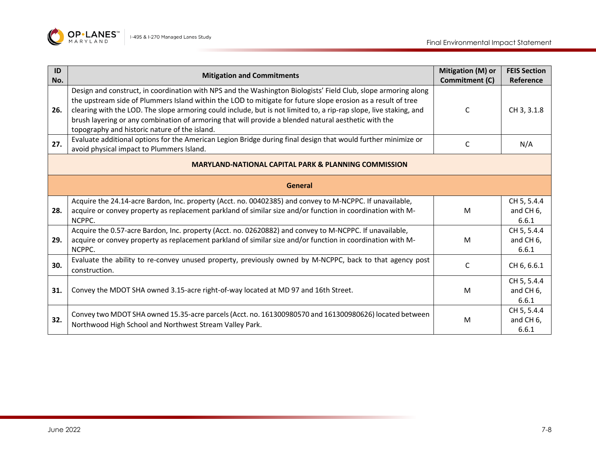

| ID<br>No.                                                       | <b>Mitigation and Commitments</b>                                                                                                                                                                                                                                                                                                                                                                                                                                                                             | Mitigation (M) or<br>Commitment (C) | <b>FEIS Section</b><br>Reference              |  |
|-----------------------------------------------------------------|---------------------------------------------------------------------------------------------------------------------------------------------------------------------------------------------------------------------------------------------------------------------------------------------------------------------------------------------------------------------------------------------------------------------------------------------------------------------------------------------------------------|-------------------------------------|-----------------------------------------------|--|
| 26.                                                             | Design and construct, in coordination with NPS and the Washington Biologists' Field Club, slope armoring along<br>the upstream side of Plummers Island within the LOD to mitigate for future slope erosion as a result of tree<br>clearing with the LOD. The slope armoring could include, but is not limited to, a rip-rap slope, live staking, and<br>brush layering or any combination of armoring that will provide a blended natural aesthetic with the<br>topography and historic nature of the island. | C                                   | CH 3, 3.1.8                                   |  |
| 27.                                                             | Evaluate additional options for the American Legion Bridge during final design that would further minimize or<br>avoid physical impact to Plummers Island.                                                                                                                                                                                                                                                                                                                                                    | C                                   | N/A                                           |  |
| <b>MARYLAND-NATIONAL CAPITAL PARK &amp; PLANNING COMMISSION</b> |                                                                                                                                                                                                                                                                                                                                                                                                                                                                                                               |                                     |                                               |  |
| <b>General</b>                                                  |                                                                                                                                                                                                                                                                                                                                                                                                                                                                                                               |                                     |                                               |  |
| 28.                                                             | Acquire the 24.14-acre Bardon, Inc. property (Acct. no. 00402385) and convey to M-NCPPC. If unavailable,<br>acquire or convey property as replacement parkland of similar size and/or function in coordination with M-<br>NCPPC.                                                                                                                                                                                                                                                                              | M                                   | CH 5, 5.4.4<br>and CH <sub>6</sub> ,<br>6.6.1 |  |
| 29.                                                             | Acquire the 0.57-acre Bardon, Inc. property (Acct. no. 02620882) and convey to M-NCPPC. If unavailable,<br>acquire or convey property as replacement parkland of similar size and/or function in coordination with M-<br>NCPPC.                                                                                                                                                                                                                                                                               | M                                   | CH 5, 5.4.4<br>and CH 6,<br>6.6.1             |  |
| 30.                                                             | Evaluate the ability to re-convey unused property, previously owned by M-NCPPC, back to that agency post<br>construction.                                                                                                                                                                                                                                                                                                                                                                                     | C                                   | CH 6, 6.6.1                                   |  |
| 31.                                                             | Convey the MDOT SHA owned 3.15-acre right-of-way located at MD 97 and 16th Street.                                                                                                                                                                                                                                                                                                                                                                                                                            | M                                   | CH 5, 5.4.4<br>and CH 6,<br>6.6.1             |  |
| 32.                                                             | Convey two MDOT SHA owned 15.35-acre parcels (Acct. no. 161300980570 and 161300980626) located between<br>Northwood High School and Northwest Stream Valley Park.                                                                                                                                                                                                                                                                                                                                             | M                                   | CH 5, 5.4.4<br>and CH <sub>6</sub> ,<br>6.6.1 |  |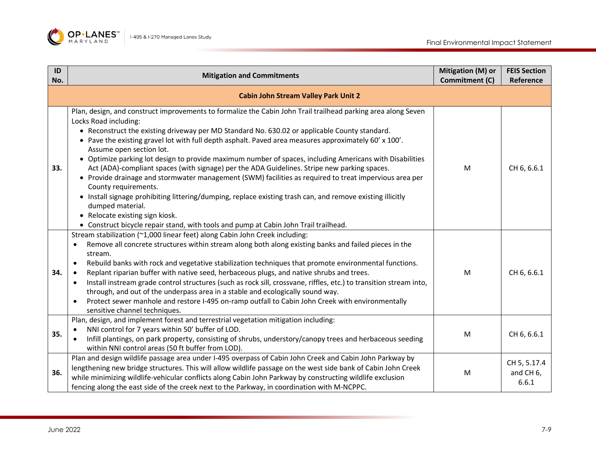

| ID<br>No. | <b>Mitigation and Commitments</b>                                                                                                                                                                                                                                                                                                                                                                                                                                                                                                                                                                                                                                                                                                                                                                                                                                                                                                                                                       | Mitigation (M) or<br>Commitment (C) | <b>FEIS Section</b><br>Reference   |
|-----------|-----------------------------------------------------------------------------------------------------------------------------------------------------------------------------------------------------------------------------------------------------------------------------------------------------------------------------------------------------------------------------------------------------------------------------------------------------------------------------------------------------------------------------------------------------------------------------------------------------------------------------------------------------------------------------------------------------------------------------------------------------------------------------------------------------------------------------------------------------------------------------------------------------------------------------------------------------------------------------------------|-------------------------------------|------------------------------------|
|           | <b>Cabin John Stream Valley Park Unit 2</b>                                                                                                                                                                                                                                                                                                                                                                                                                                                                                                                                                                                                                                                                                                                                                                                                                                                                                                                                             |                                     |                                    |
| 33.       | Plan, design, and construct improvements to formalize the Cabin John Trail trailhead parking area along Seven<br>Locks Road including:<br>• Reconstruct the existing driveway per MD Standard No. 630.02 or applicable County standard.<br>• Pave the existing gravel lot with full depth asphalt. Paved area measures approximately 60' x 100'.<br>Assume open section lot.<br>• Optimize parking lot design to provide maximum number of spaces, including Americans with Disabilities<br>Act (ADA)-compliant spaces (with signage) per the ADA Guidelines. Stripe new parking spaces.<br>• Provide drainage and stormwater management (SWM) facilities as required to treat impervious area per<br>County requirements.<br>• Install signage prohibiting littering/dumping, replace existing trash can, and remove existing illicitly<br>dumped material.<br>• Relocate existing sign kiosk.<br>• Construct bicycle repair stand, with tools and pump at Cabin John Trail trailhead. | M                                   | CH 6, 6.6.1                        |
| 34.       | Stream stabilization (~1,000 linear feet) along Cabin John Creek including:<br>Remove all concrete structures within stream along both along existing banks and failed pieces in the<br>$\bullet$<br>stream.<br>Rebuild banks with rock and vegetative stabilization techniques that promote environmental functions.<br>$\bullet$<br>Replant riparian buffer with native seed, herbaceous plugs, and native shrubs and trees.<br>$\bullet$<br>Install instream grade control structures (such as rock sill, crossvane, riffles, etc.) to transition stream into,<br>$\bullet$<br>through, and out of the underpass area in a stable and ecologically sound way.<br>Protect sewer manhole and restore I-495 on-ramp outfall to Cabin John Creek with environmentally<br>$\bullet$<br>sensitive channel techniques.                                                                                                                                                                      | M                                   | CH 6, 6.6.1                        |
| 35.       | Plan, design, and implement forest and terrestrial vegetation mitigation including:<br>NNI control for 7 years within 50' buffer of LOD.<br>$\bullet$<br>Infill plantings, on park property, consisting of shrubs, understory/canopy trees and herbaceous seeding<br>$\bullet$<br>within NNI control areas (50 ft buffer from LOD).                                                                                                                                                                                                                                                                                                                                                                                                                                                                                                                                                                                                                                                     | M                                   | CH 6, 6.6.1                        |
| 36.       | Plan and design wildlife passage area under I-495 overpass of Cabin John Creek and Cabin John Parkway by<br>lengthening new bridge structures. This will allow wildlife passage on the west side bank of Cabin John Creek<br>while minimizing wildlife-vehicular conflicts along Cabin John Parkway by constructing wildlife exclusion<br>fencing along the east side of the creek next to the Parkway, in coordination with M-NCPPC.                                                                                                                                                                                                                                                                                                                                                                                                                                                                                                                                                   | M                                   | CH 5, 5.17.4<br>and CH 6,<br>6.6.1 |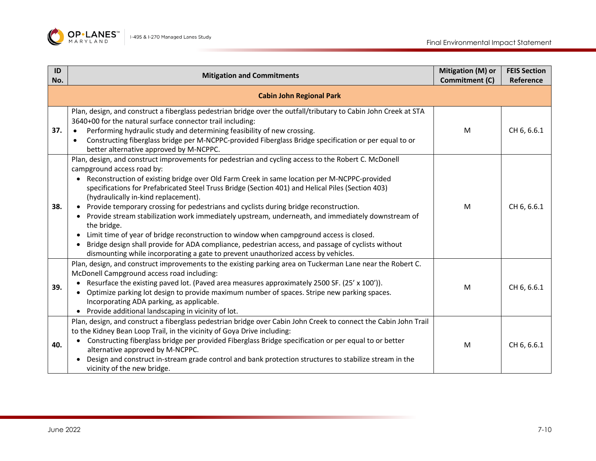

| ID<br>No. | <b>Mitigation and Commitments</b>                                                                                                                                                                                                                                                                                                                                                                                                                                                                                                                                                                                                                                                                                                                                                                                                                                                        | Mitigation (M) or<br>Commitment (C) | <b>FEIS Section</b><br>Reference |
|-----------|------------------------------------------------------------------------------------------------------------------------------------------------------------------------------------------------------------------------------------------------------------------------------------------------------------------------------------------------------------------------------------------------------------------------------------------------------------------------------------------------------------------------------------------------------------------------------------------------------------------------------------------------------------------------------------------------------------------------------------------------------------------------------------------------------------------------------------------------------------------------------------------|-------------------------------------|----------------------------------|
|           | <b>Cabin John Regional Park</b>                                                                                                                                                                                                                                                                                                                                                                                                                                                                                                                                                                                                                                                                                                                                                                                                                                                          |                                     |                                  |
| 37.       | Plan, design, and construct a fiberglass pedestrian bridge over the outfall/tributary to Cabin John Creek at STA<br>3640+00 for the natural surface connector trail including:<br>Performing hydraulic study and determining feasibility of new crossing.<br>$\bullet$<br>Constructing fiberglass bridge per M-NCPPC-provided Fiberglass Bridge specification or per equal to or<br>$\bullet$<br>better alternative approved by M-NCPPC.                                                                                                                                                                                                                                                                                                                                                                                                                                                 | M                                   | CH 6, 6.6.1                      |
| 38.       | Plan, design, and construct improvements for pedestrian and cycling access to the Robert C. McDonell<br>campground access road by:<br>• Reconstruction of existing bridge over Old Farm Creek in same location per M-NCPPC-provided<br>specifications for Prefabricated Steel Truss Bridge (Section 401) and Helical Piles (Section 403)<br>(hydraulically in-kind replacement).<br>• Provide temporary crossing for pedestrians and cyclists during bridge reconstruction.<br>• Provide stream stabilization work immediately upstream, underneath, and immediately downstream of<br>the bridge.<br>Limit time of year of bridge reconstruction to window when campground access is closed.<br>Bridge design shall provide for ADA compliance, pedestrian access, and passage of cyclists without<br>dismounting while incorporating a gate to prevent unauthorized access by vehicles. | M                                   | CH 6, 6.6.1                      |
| 39.       | Plan, design, and construct improvements to the existing parking area on Tuckerman Lane near the Robert C.<br>McDonell Campground access road including:<br>• Resurface the existing paved lot. (Paved area measures approximately 2500 SF. (25' x 100')).<br>Optimize parking lot design to provide maximum number of spaces. Stripe new parking spaces.<br>Incorporating ADA parking, as applicable.<br>• Provide additional landscaping in vicinity of lot.                                                                                                                                                                                                                                                                                                                                                                                                                           | M                                   | CH 6, 6.6.1                      |
| 40.       | Plan, design, and construct a fiberglass pedestrian bridge over Cabin John Creek to connect the Cabin John Trail<br>to the Kidney Bean Loop Trail, in the vicinity of Goya Drive including:<br>Constructing fiberglass bridge per provided Fiberglass Bridge specification or per equal to or better<br>alternative approved by M-NCPPC.<br>Design and construct in-stream grade control and bank protection structures to stabilize stream in the<br>vicinity of the new bridge.                                                                                                                                                                                                                                                                                                                                                                                                        | M                                   | CH 6, 6.6.1                      |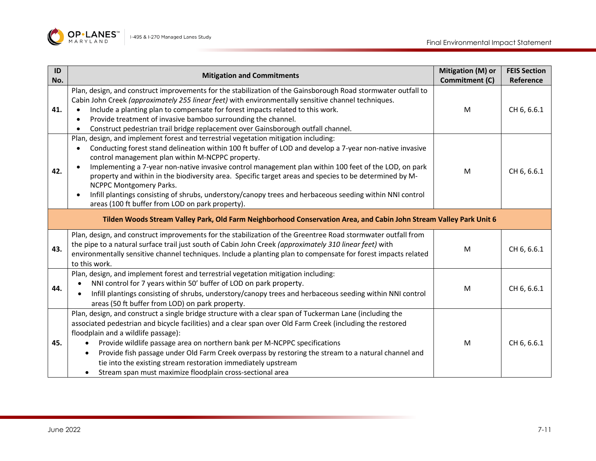

| ID<br>No. | <b>Mitigation and Commitments</b>                                                                                                                                                                                                                                                                                                                                                                                                                                                                                                                                                                                                                                        | Mitigation (M) or<br>Commitment (C) | <b>FEIS Section</b><br>Reference |
|-----------|--------------------------------------------------------------------------------------------------------------------------------------------------------------------------------------------------------------------------------------------------------------------------------------------------------------------------------------------------------------------------------------------------------------------------------------------------------------------------------------------------------------------------------------------------------------------------------------------------------------------------------------------------------------------------|-------------------------------------|----------------------------------|
| 41.       | Plan, design, and construct improvements for the stabilization of the Gainsborough Road stormwater outfall to<br>Cabin John Creek (approximately 255 linear feet) with environmentally sensitive channel techniques.<br>Include a planting plan to compensate for forest impacts related to this work.<br>Provide treatment of invasive bamboo surrounding the channel.<br>Construct pedestrian trail bridge replacement over Gainsborough outfall channel.                                                                                                                                                                                                              | M                                   | CH 6, 6.6.1                      |
| 42.       | Plan, design, and implement forest and terrestrial vegetation mitigation including:<br>Conducting forest stand delineation within 100 ft buffer of LOD and develop a 7-year non-native invasive<br>control management plan within M-NCPPC property.<br>Implementing a 7-year non-native invasive control management plan within 100 feet of the LOD, on park<br>property and within in the biodiversity area. Specific target areas and species to be determined by M-<br><b>NCPPC Montgomery Parks.</b><br>Infill plantings consisting of shrubs, understory/canopy trees and herbaceous seeding within NNI control<br>areas (100 ft buffer from LOD on park property). | M                                   | CH 6, 6.6.1                      |
|           | Tilden Woods Stream Valley Park, Old Farm Neighborhood Conservation Area, and Cabin John Stream Valley Park Unit 6                                                                                                                                                                                                                                                                                                                                                                                                                                                                                                                                                       |                                     |                                  |
| 43.       | Plan, design, and construct improvements for the stabilization of the Greentree Road stormwater outfall from<br>the pipe to a natural surface trail just south of Cabin John Creek (approximately 310 linear feet) with<br>environmentally sensitive channel techniques. Include a planting plan to compensate for forest impacts related<br>to this work.                                                                                                                                                                                                                                                                                                               | M                                   | CH 6, 6.6.1                      |
| 44.       | Plan, design, and implement forest and terrestrial vegetation mitigation including:<br>NNI control for 7 years within 50' buffer of LOD on park property.<br>Infill plantings consisting of shrubs, understory/canopy trees and herbaceous seeding within NNI control<br>areas (50 ft buffer from LOD) on park property.                                                                                                                                                                                                                                                                                                                                                 | M                                   | CH 6, 6.6.1                      |
| 45.       | Plan, design, and construct a single bridge structure with a clear span of Tuckerman Lane (including the<br>associated pedestrian and bicycle facilities) and a clear span over Old Farm Creek (including the restored<br>floodplain and a wildlife passage):<br>Provide wildlife passage area on northern bank per M-NCPPC specifications<br>Provide fish passage under Old Farm Creek overpass by restoring the stream to a natural channel and<br>tie into the existing stream restoration immediately upstream<br>Stream span must maximize floodplain cross-sectional area                                                                                          | M                                   | CH 6, 6.6.1                      |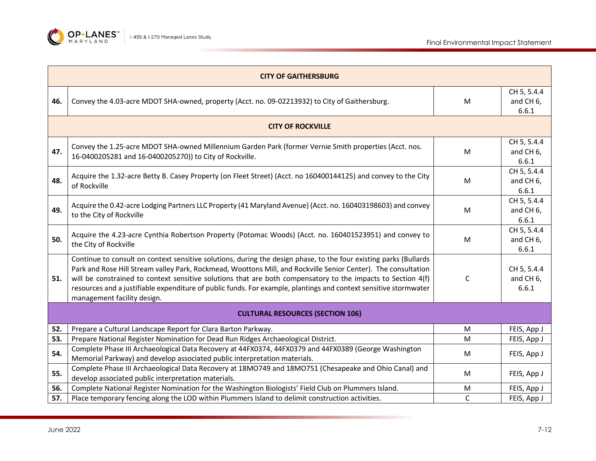

|     | <b>CITY OF GAITHERSBURG</b>                                                                                                                                                                                                                                                                                                                                                                                                                                                                            |   |                                               |  |
|-----|--------------------------------------------------------------------------------------------------------------------------------------------------------------------------------------------------------------------------------------------------------------------------------------------------------------------------------------------------------------------------------------------------------------------------------------------------------------------------------------------------------|---|-----------------------------------------------|--|
| 46. | Convey the 4.03-acre MDOT SHA-owned, property (Acct. no. 09-02213932) to City of Gaithersburg.                                                                                                                                                                                                                                                                                                                                                                                                         | M | CH 5, 5.4.4<br>and CH 6,<br>6.6.1             |  |
|     | <b>CITY OF ROCKVILLE</b>                                                                                                                                                                                                                                                                                                                                                                                                                                                                               |   |                                               |  |
| 47. | Convey the 1.25-acre MDOT SHA-owned Millennium Garden Park (former Vernie Smith properties (Acct. nos.<br>16-0400205281 and 16-0400205270)) to City of Rockville.                                                                                                                                                                                                                                                                                                                                      | M | CH 5, 5.4.4<br>and CH <sub>6</sub> ,<br>6.6.1 |  |
| 48. | Acquire the 1.32-acre Betty B. Casey Property (on Fleet Street) (Acct. no 160400144125) and convey to the City<br>of Rockville                                                                                                                                                                                                                                                                                                                                                                         | M | CH 5, 5.4.4<br>and CH <sub>6</sub> ,<br>6.6.1 |  |
| 49. | Acquire the 0.42-acre Lodging Partners LLC Property (41 Maryland Avenue) (Acct. no. 160403198603) and convey<br>to the City of Rockville                                                                                                                                                                                                                                                                                                                                                               | M | CH 5, 5.4.4<br>and CH <sub>6</sub> ,<br>6.6.1 |  |
| 50. | Acquire the 4.23-acre Cynthia Robertson Property (Potomac Woods) (Acct. no. 160401523951) and convey to<br>the City of Rockville                                                                                                                                                                                                                                                                                                                                                                       | M | CH 5, 5.4.4<br>and CH <sub>6</sub> ,<br>6.6.1 |  |
| 51. | Continue to consult on context sensitive solutions, during the design phase, to the four existing parks (Bullards<br>Park and Rose Hill Stream valley Park, Rockmead, Woottons Mill, and Rockville Senior Center). The consultation<br>will be constrained to context sensitive solutions that are both compensatory to the impacts to Section 4(f)<br>resources and a justifiable expenditure of public funds. For example, plantings and context sensitive stormwater<br>management facility design. | C | CH 5, 5.4.4<br>and CH <sub>6</sub> ,<br>6.6.1 |  |
|     | <b>CULTURAL RESOURCES (SECTION 106)</b>                                                                                                                                                                                                                                                                                                                                                                                                                                                                |   |                                               |  |
| 52. | Prepare a Cultural Landscape Report for Clara Barton Parkway.                                                                                                                                                                                                                                                                                                                                                                                                                                          | M | FEIS, App J                                   |  |
| 53. | Prepare National Register Nomination for Dead Run Ridges Archaeological District.                                                                                                                                                                                                                                                                                                                                                                                                                      | M | FEIS, App J                                   |  |
| 54. | Complete Phase III Archaeological Data Recovery at 44FX0374, 44FX0379 and 44FX0389 (George Washington<br>Memorial Parkway) and develop associated public interpretation materials.                                                                                                                                                                                                                                                                                                                     | M | FEIS, App J                                   |  |
| 55. | Complete Phase III Archaeological Data Recovery at 18MO749 and 18MO751 (Chesapeake and Ohio Canal) and<br>develop associated public interpretation materials.                                                                                                                                                                                                                                                                                                                                          | M | FEIS, App J                                   |  |
| 56. | Complete National Register Nomination for the Washington Biologists' Field Club on Plummers Island.                                                                                                                                                                                                                                                                                                                                                                                                    | M | FEIS, App J                                   |  |
| 57. | Place temporary fencing along the LOD within Plummers Island to delimit construction activities.                                                                                                                                                                                                                                                                                                                                                                                                       | C | FEIS, App J                                   |  |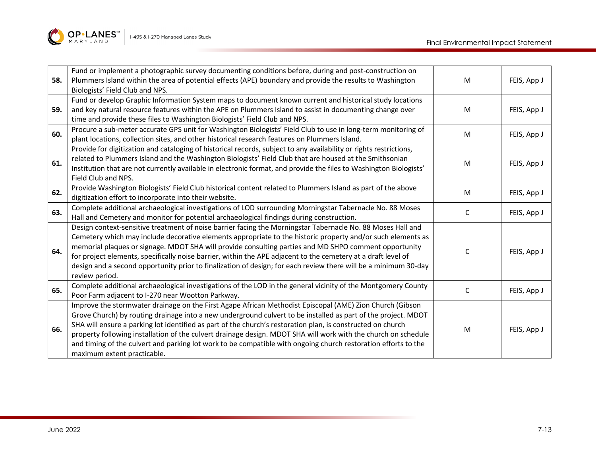

| 58. | Fund or implement a photographic survey documenting conditions before, during and post-construction on<br>Plummers Island within the area of potential effects (APE) boundary and provide the results to Washington<br>Biologists' Field Club and NPS.                                                                                                                                                                                                                                                                                                                                                      | M | FEIS, App J |
|-----|-------------------------------------------------------------------------------------------------------------------------------------------------------------------------------------------------------------------------------------------------------------------------------------------------------------------------------------------------------------------------------------------------------------------------------------------------------------------------------------------------------------------------------------------------------------------------------------------------------------|---|-------------|
| 59. | Fund or develop Graphic Information System maps to document known current and historical study locations<br>and key natural resource features within the APE on Plummers Island to assist in documenting change over<br>time and provide these files to Washington Biologists' Field Club and NPS.                                                                                                                                                                                                                                                                                                          | M | FEIS, App J |
| 60. | Procure a sub-meter accurate GPS unit for Washington Biologists' Field Club to use in long-term monitoring of<br>plant locations, collection sites, and other historical research features on Plummers Island.                                                                                                                                                                                                                                                                                                                                                                                              | M | FEIS, App J |
| 61. | Provide for digitization and cataloging of historical records, subject to any availability or rights restrictions,<br>related to Plummers Island and the Washington Biologists' Field Club that are housed at the Smithsonian<br>Institution that are not currently available in electronic format, and provide the files to Washington Biologists'<br>Field Club and NPS.                                                                                                                                                                                                                                  | M | FEIS, App J |
| 62. | Provide Washington Biologists' Field Club historical content related to Plummers Island as part of the above<br>digitization effort to incorporate into their website.                                                                                                                                                                                                                                                                                                                                                                                                                                      | M | FEIS, App J |
| 63. | Complete additional archaeological investigations of LOD surrounding Morningstar Tabernacle No. 88 Moses<br>Hall and Cemetery and monitor for potential archaeological findings during construction.                                                                                                                                                                                                                                                                                                                                                                                                        | C | FEIS, App J |
| 64. | Design context-sensitive treatment of noise barrier facing the Morningstar Tabernacle No. 88 Moses Hall and<br>Cemetery which may include decorative elements appropriate to the historic property and/or such elements as<br>memorial plaques or signage. MDOT SHA will provide consulting parties and MD SHPO comment opportunity<br>for project elements, specifically noise barrier, within the APE adjacent to the cemetery at a draft level of<br>design and a second opportunity prior to finalization of design; for each review there will be a minimum 30-day<br>review period.                   | C | FEIS, App J |
| 65. | Complete additional archaeological investigations of the LOD in the general vicinity of the Montgomery County<br>Poor Farm adjacent to I-270 near Wootton Parkway.                                                                                                                                                                                                                                                                                                                                                                                                                                          | C | FEIS, App J |
| 66. | Improve the stormwater drainage on the First Agape African Methodist Episcopal (AME) Zion Church (Gibson<br>Grove Church) by routing drainage into a new underground culvert to be installed as part of the project. MDOT<br>SHA will ensure a parking lot identified as part of the church's restoration plan, is constructed on church<br>property following installation of the culvert drainage design. MDOT SHA will work with the church on schedule<br>and timing of the culvert and parking lot work to be compatible with ongoing church restoration efforts to the<br>maximum extent practicable. | M | FEIS, App J |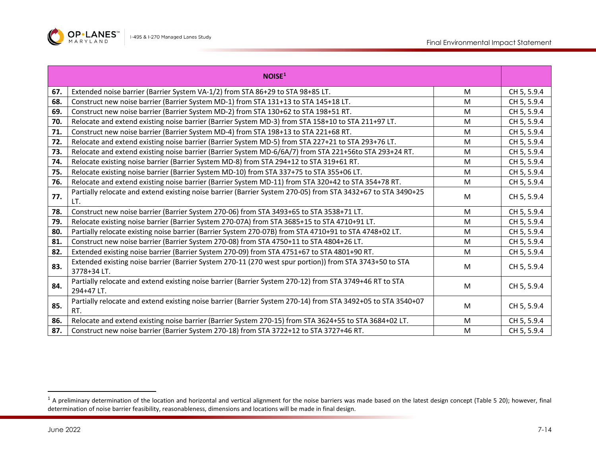<span id="page-13-0"></span>

|     | NOISE <sup>1</sup>                                                                                                     |   |             |
|-----|------------------------------------------------------------------------------------------------------------------------|---|-------------|
| 67. | Extended noise barrier (Barrier System VA-1/2) from STA 86+29 to STA 98+85 LT.                                         | M | CH 5, 5.9.4 |
| 68. | Construct new noise barrier (Barrier System MD-1) from STA 131+13 to STA 145+18 LT.                                    | M | CH 5, 5.9.4 |
| 69. | Construct new noise barrier (Barrier System MD-2) from STA 130+62 to STA 198+51 RT.                                    | M | CH 5, 5.9.4 |
| 70. | Relocate and extend existing noise barrier (Barrier System MD-3) from STA 158+10 to STA 211+97 LT.                     | M | CH 5, 5.9.4 |
| 71. | Construct new noise barrier (Barrier System MD-4) from STA 198+13 to STA 221+68 RT.                                    | M | CH 5, 5.9.4 |
| 72. | Relocate and extend existing noise barrier (Barrier System MD-5) from STA 227+21 to STA 293+76 LT.                     | M | CH 5, 5.9.4 |
| 73. | Relocate and extend existing noise barrier (Barrier System MD-6/6A/7) from STA 221+56to STA 293+24 RT.                 | M | CH 5, 5.9.4 |
| 74. | Relocate existing noise barrier (Barrier System MD-8) from STA 294+12 to STA 319+61 RT.                                | M | CH 5, 5.9.4 |
| 75. | Relocate existing noise barrier (Barrier System MD-10) from STA 337+75 to STA 355+06 LT.                               | M | CH 5, 5.9.4 |
| 76. | Relocate and extend existing noise barrier (Barrier System MD-11) from STA 320+42 to STA 354+78 RT.                    | M | CH 5, 5.9.4 |
| 77. | Partially relocate and extend existing noise barrier (Barrier System 270-05) from STA 3432+67 to STA 3490+25<br>LT.    | M | CH 5, 5.9.4 |
| 78. | Construct new noise barrier (Barrier System 270-06) from STA 3493+65 to STA 3538+71 LT.                                | M | CH 5, 5.9.4 |
| 79. | Relocate existing noise barrier (Barrier System 270-07A) from STA 3685+15 to STA 4710+91 LT.                           | M | CH 5, 5.9.4 |
| 80. | Partially relocate existing noise barrier (Barrier System 270-07B) from STA 4710+91 to STA 4748+02 LT.                 | M | CH 5, 5.9.4 |
| 81. | Construct new noise barrier (Barrier System 270-08) from STA 4750+11 to STA 4804+26 LT.                                | M | CH 5, 5.9.4 |
| 82. | Extended existing noise barrier (Barrier System 270-09) from STA 4751+67 to STA 4801+90 RT.                            | M | CH 5, 5.9.4 |
| 83. | Extended existing noise barrier (Barrier System 270-11 (270 west spur portion)) from STA 3743+50 to STA<br>3778+34 LT. | M | CH 5, 5.9.4 |
| 84. | Partially relocate and extend existing noise barrier (Barrier System 270-12) from STA 3749+46 RT to STA<br>294+47 LT.  | M | CH 5, 5.9.4 |
| 85. | Partially relocate and extend existing noise barrier (Barrier System 270-14) from STA 3492+05 to STA 3540+07<br>RT.    | M | CH 5, 5.9.4 |
| 86. | Relocate and extend existing noise barrier (Barrier System 270-15) from STA 3624+55 to STA 3684+02 LT.                 | M | CH 5, 5.9.4 |
| 87. | Construct new noise barrier (Barrier System 270-18) from STA 3722+12 to STA 3727+46 RT.                                | M | CH 5, 5.9.4 |

 $1$  A preliminary determination of the location and horizontal and vertical alignment for the noise barriers was made based on the latest design concept (Table 5 20); however, final determination of noise barrier feasibility, reasonableness, dimensions and locations will be made in final design.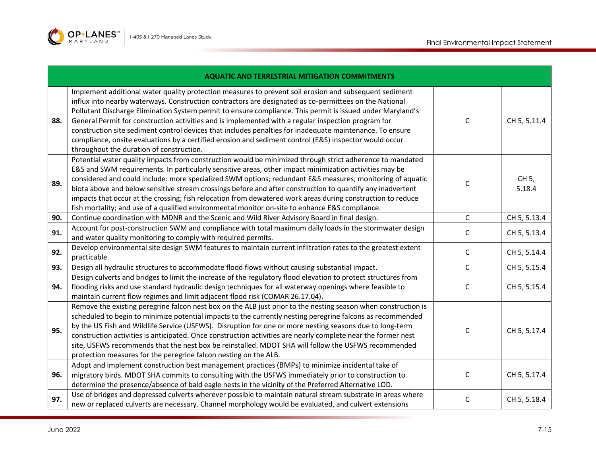

|     | <b>AQUATIC AND TERRESTRIAL MITIGATION COMMITMENTS</b>                                                                                                                                                                                                                                                                                                                                                                                                                                                                                                                                                                                                                                                   |              |                 |
|-----|---------------------------------------------------------------------------------------------------------------------------------------------------------------------------------------------------------------------------------------------------------------------------------------------------------------------------------------------------------------------------------------------------------------------------------------------------------------------------------------------------------------------------------------------------------------------------------------------------------------------------------------------------------------------------------------------------------|--------------|-----------------|
| 88. | Implement additional water quality protection measures to prevent soil erosion and subsequent sediment<br>influx into nearby waterways. Construction contractors are designated as co-permittees on the National<br>Pollutant Discharge Elimination System permit to ensure compliance. This permit is issued under Maryland's<br>General Permit for construction activities and is implemented with a regular inspection program for<br>construction site sediment control devices that includes penalties for inadequate maintenance. To ensure<br>compliance, onsite evaluations by a certified erosion and sediment control (E&S) inspector would occur<br>throughout the duration of construction. | C            | CH 5, 5.11.4    |
| 89. | Potential water quality impacts from construction would be minimized through strict adherence to mandated<br>E&S and SWM requirements. In particularly sensitive areas, other impact minimization activities may be<br>considered and could include: more specialized SWM options; redundant E&S measures; monitoring of aquatic<br>biota above and below sensitive stream crossings before and after construction to quantify any inadvertent<br>impacts that occur at the crossing; fish relocation from dewatered work areas during construction to reduce<br>fish mortality; and use of a qualified environmental monitor on-site to enhance E&S compliance.                                        | C            | CH 5,<br>5.18.4 |
| 90. | Continue coordination with MDNR and the Scenic and Wild River Advisory Board in final design.                                                                                                                                                                                                                                                                                                                                                                                                                                                                                                                                                                                                           | $\mathsf C$  | CH 5, 5.13.4    |
| 91. | Account for post-construction SWM and compliance with total maximum daily loads in the stormwater design<br>and water quality monitoring to comply with required permits.                                                                                                                                                                                                                                                                                                                                                                                                                                                                                                                               | $\mathsf{C}$ | CH 5, 5.13.4    |
| 92. | Develop environmental site design SWM features to maintain current infiltration rates to the greatest extent<br>practicable.                                                                                                                                                                                                                                                                                                                                                                                                                                                                                                                                                                            | C            | CH 5, 5.14.4    |
| 93. | Design all hydraulic structures to accommodate flood flows without causing substantial impact.                                                                                                                                                                                                                                                                                                                                                                                                                                                                                                                                                                                                          | $\mathsf{C}$ | CH 5, 5.15.4    |
| 94. | Design culverts and bridges to limit the increase of the regulatory flood elevation to protect structures from<br>flooding risks and use standard hydraulic design techniques for all waterway openings where feasible to<br>maintain current flow regimes and limit adjacent flood risk (COMAR 26.17.04).                                                                                                                                                                                                                                                                                                                                                                                              | C            | CH 5, 5.15.4    |
| 95. | Remove the existing peregrine falcon nest box on the ALB just prior to the nesting season when construction is<br>scheduled to begin to minimize potential impacts to the currently nesting peregrine falcons as recommended<br>by the US Fish and Wildlife Service (USFWS). Disruption for one or more nesting seasons due to long-term<br>construction activities is anticipated. Once construction activities are nearly complete near the former nest<br>site, USFWS recommends that the nest box be reinstalled. MDOT SHA will follow the USFWS recommended<br>protection measures for the peregrine falcon nesting on the ALB.                                                                    | C            | CH 5, 5.17.4    |
| 96. | Adopt and implement construction best management practices (BMPs) to minimize incidental take of<br>migratory birds. MDOT SHA commits to consulting with the USFWS immediately prior to construction to<br>determine the presence/absence of bald eagle nests in the vicinity of the Preferred Alternative LOD.                                                                                                                                                                                                                                                                                                                                                                                         | C            | CH 5, 5.17.4    |
| 97. | Use of bridges and depressed culverts wherever possible to maintain natural stream substrate in areas where<br>new or replaced culverts are necessary. Channel morphology would be evaluated, and culvert extensions                                                                                                                                                                                                                                                                                                                                                                                                                                                                                    | C            | CH 5, 5.18.4    |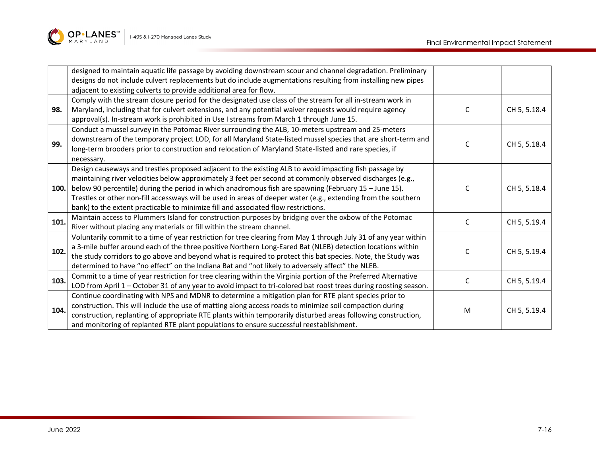

|      | designed to maintain aquatic life passage by avoiding downstream scour and channel degradation. Preliminary      |   |              |
|------|------------------------------------------------------------------------------------------------------------------|---|--------------|
|      | designs do not include culvert replacements but do include augmentations resulting from installing new pipes     |   |              |
|      | adjacent to existing culverts to provide additional area for flow.                                               |   |              |
|      | Comply with the stream closure period for the designated use class of the stream for all in-stream work in       |   |              |
| 98.  | Maryland, including that for culvert extensions, and any potential waiver requests would require agency          | C | CH 5, 5.18.4 |
|      | approval(s). In-stream work is prohibited in Use I streams from March 1 through June 15.                         |   |              |
|      | Conduct a mussel survey in the Potomac River surrounding the ALB, 10-meters upstream and 25-meters               |   |              |
| 99.  | downstream of the temporary project LOD, for all Maryland State-listed mussel species that are short-term and    |   |              |
|      | long-term brooders prior to construction and relocation of Maryland State-listed and rare species, if            | C | CH 5, 5.18.4 |
|      | necessary.                                                                                                       |   |              |
|      | Design causeways and trestles proposed adjacent to the existing ALB to avoid impacting fish passage by           |   |              |
| 100. | maintaining river velocities below approximately 3 feet per second at commonly observed discharges (e.g.,        |   |              |
|      | below 90 percentile) during the period in which anadromous fish are spawning (February 15 - June 15).            | C | CH 5, 5.18.4 |
|      | Trestles or other non-fill accessways will be used in areas of deeper water (e.g., extending from the southern   |   |              |
|      | bank) to the extent practicable to minimize fill and associated flow restrictions.                               |   |              |
| 101. | Maintain access to Plummers Island for construction purposes by bridging over the oxbow of the Potomac           | C | CH 5, 5.19.4 |
|      | River without placing any materials or fill within the stream channel.                                           |   |              |
|      | Voluntarily commit to a time of year restriction for tree clearing from May 1 through July 31 of any year within |   |              |
| 102. | a 3-mile buffer around each of the three positive Northern Long-Eared Bat (NLEB) detection locations within      | C | CH 5, 5.19.4 |
|      | the study corridors to go above and beyond what is required to protect this bat species. Note, the Study was     |   |              |
|      | determined to have "no effect" on the Indiana Bat and "not likely to adversely affect" the NLEB.                 |   |              |
| 103. | Commit to a time of year restriction for tree clearing within the Virginia portion of the Preferred Alternative  | C | CH 5, 5.19.4 |
|      | LOD from April 1 - October 31 of any year to avoid impact to tri-colored bat roost trees during roosting season. |   |              |
|      | Continue coordinating with NPS and MDNR to determine a mitigation plan for RTE plant species prior to            |   |              |
| 104. | construction. This will include the use of matting along access roads to minimize soil compaction during         | M | CH 5, 5.19.4 |
|      | construction, replanting of appropriate RTE plants within temporarily disturbed areas following construction,    |   |              |
|      | and monitoring of replanted RTE plant populations to ensure successful reestablishment.                          |   |              |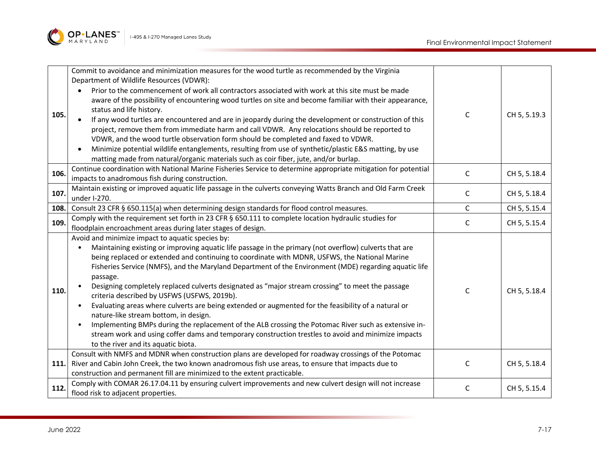

| 105. | Commit to avoidance and minimization measures for the wood turtle as recommended by the Virginia<br>Department of Wildlife Resources (VDWR):<br>Prior to the commencement of work all contractors associated with work at this site must be made<br>aware of the possibility of encountering wood turtles on site and become familiar with their appearance,<br>status and life history.<br>If any wood turtles are encountered and are in jeopardy during the development or construction of this<br>project, remove them from immediate harm and call VDWR. Any relocations should be reported to<br>VDWR, and the wood turtle observation form should be completed and faxed to VDWR.<br>Minimize potential wildlife entanglements, resulting from use of synthetic/plastic E&S matting, by use<br>matting made from natural/organic materials such as coir fiber, jute, and/or burlap.                                                | $\mathsf{C}$ | CH 5, 5.19.3 |
|------|-------------------------------------------------------------------------------------------------------------------------------------------------------------------------------------------------------------------------------------------------------------------------------------------------------------------------------------------------------------------------------------------------------------------------------------------------------------------------------------------------------------------------------------------------------------------------------------------------------------------------------------------------------------------------------------------------------------------------------------------------------------------------------------------------------------------------------------------------------------------------------------------------------------------------------------------|--------------|--------------|
| 106. | Continue coordination with National Marine Fisheries Service to determine appropriate mitigation for potential<br>impacts to anadromous fish during construction.                                                                                                                                                                                                                                                                                                                                                                                                                                                                                                                                                                                                                                                                                                                                                                         | $\mathsf{C}$ | CH 5, 5.18.4 |
| 107. | Maintain existing or improved aquatic life passage in the culverts conveying Watts Branch and Old Farm Creek<br>under I-270.                                                                                                                                                                                                                                                                                                                                                                                                                                                                                                                                                                                                                                                                                                                                                                                                              | C            | CH 5, 5.18.4 |
| 108. | Consult 23 CFR § 650.115(a) when determining design standards for flood control measures.                                                                                                                                                                                                                                                                                                                                                                                                                                                                                                                                                                                                                                                                                                                                                                                                                                                 | $\mathsf{C}$ | CH 5, 5.15.4 |
| 109. | Comply with the requirement set forth in 23 CFR § 650.111 to complete location hydraulic studies for<br>floodplain encroachment areas during later stages of design.                                                                                                                                                                                                                                                                                                                                                                                                                                                                                                                                                                                                                                                                                                                                                                      | $\mathsf C$  | CH 5, 5.15.4 |
| 110. | Avoid and minimize impact to aquatic species by:<br>Maintaining existing or improving aquatic life passage in the primary (not overflow) culverts that are<br>being replaced or extended and continuing to coordinate with MDNR, USFWS, the National Marine<br>Fisheries Service (NMFS), and the Maryland Department of the Environment (MDE) regarding aquatic life<br>passage.<br>Designing completely replaced culverts designated as "major stream crossing" to meet the passage<br>criteria described by USFWS (USFWS, 2019b).<br>Evaluating areas where culverts are being extended or augmented for the feasibility of a natural or<br>nature-like stream bottom, in design.<br>Implementing BMPs during the replacement of the ALB crossing the Potomac River such as extensive in-<br>stream work and using coffer dams and temporary construction trestles to avoid and minimize impacts<br>to the river and its aquatic biota. | $\mathsf{C}$ | CH 5, 5.18.4 |
| 111. | Consult with NMFS and MDNR when construction plans are developed for roadway crossings of the Potomac<br>River and Cabin John Creek, the two known anadromous fish use areas, to ensure that impacts due to<br>construction and permanent fill are minimized to the extent practicable.                                                                                                                                                                                                                                                                                                                                                                                                                                                                                                                                                                                                                                                   | $\mathsf{C}$ | CH 5, 5.18.4 |
| 112. | Comply with COMAR 26.17.04.11 by ensuring culvert improvements and new culvert design will not increase<br>flood risk to adjacent properties.                                                                                                                                                                                                                                                                                                                                                                                                                                                                                                                                                                                                                                                                                                                                                                                             | $\mathsf{C}$ | CH 5, 5.15.4 |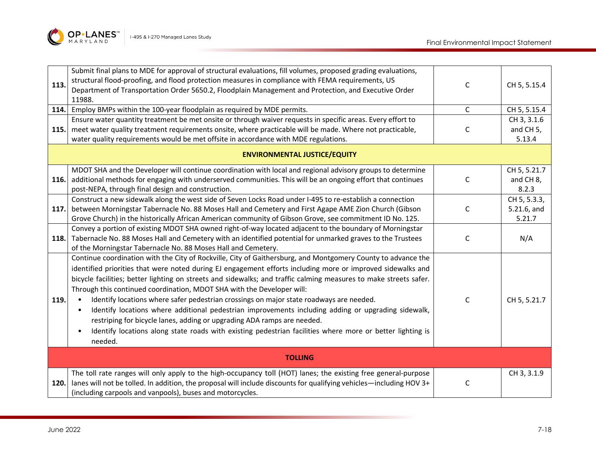

| 113.<br>114.<br>115. | Submit final plans to MDE for approval of structural evaluations, fill volumes, proposed grading evaluations,<br>structural flood-proofing, and flood protection measures in compliance with FEMA requirements, US<br>Department of Transportation Order 5650.2, Floodplain Management and Protection, and Executive Order<br>11988.<br>Employ BMPs within the 100-year floodplain as required by MDE permits.<br>Ensure water quantity treatment be met onsite or through waiver requests in specific areas. Every effort to<br>meet water quality treatment requirements onsite, where practicable will be made. Where not practicable,<br>water quality requirements would be met offsite in accordance with MDE regulations.                                                                                                                          | C<br>$\mathsf{C}$<br>C | CH 5, 5.15.4<br>CH 5, 5.15.4<br>CH 3, 3.1.6<br>and CH <sub>5</sub> ,<br>5.13.4 |  |
|----------------------|-----------------------------------------------------------------------------------------------------------------------------------------------------------------------------------------------------------------------------------------------------------------------------------------------------------------------------------------------------------------------------------------------------------------------------------------------------------------------------------------------------------------------------------------------------------------------------------------------------------------------------------------------------------------------------------------------------------------------------------------------------------------------------------------------------------------------------------------------------------|------------------------|--------------------------------------------------------------------------------|--|
|                      | <b>ENVIRONMENTAL JUSTICE/EQUITY</b>                                                                                                                                                                                                                                                                                                                                                                                                                                                                                                                                                                                                                                                                                                                                                                                                                       |                        |                                                                                |  |
| 116.                 | MDOT SHA and the Developer will continue coordination with local and regional advisory groups to determine<br>additional methods for engaging with underserved communities. This will be an ongoing effort that continues<br>post-NEPA, through final design and construction.                                                                                                                                                                                                                                                                                                                                                                                                                                                                                                                                                                            | $\mathsf C$            | CH 5, 5.21.7<br>and CH 8,<br>8.2.3                                             |  |
| 117.                 | Construct a new sidewalk along the west side of Seven Locks Road under I-495 to re-establish a connection<br>between Morningstar Tabernacle No. 88 Moses Hall and Cemetery and First Agape AME Zion Church (Gibson<br>Grove Church) in the historically African American community of Gibson Grove, see commitment ID No. 125.                                                                                                                                                                                                                                                                                                                                                                                                                                                                                                                            | C                      | CH 5, 5.3.3,<br>5.21.6, and<br>5.21.7                                          |  |
| 118.                 | Convey a portion of existing MDOT SHA owned right-of-way located adjacent to the boundary of Morningstar<br>Tabernacle No. 88 Moses Hall and Cemetery with an identified potential for unmarked graves to the Trustees<br>of the Morningstar Tabernacle No. 88 Moses Hall and Cemetery.                                                                                                                                                                                                                                                                                                                                                                                                                                                                                                                                                                   | $\mathsf C$            | N/A                                                                            |  |
| 119.                 | Continue coordination with the City of Rockville, City of Gaithersburg, and Montgomery County to advance the<br>identified priorities that were noted during EJ engagement efforts including more or improved sidewalks and<br>bicycle facilities; better lighting on streets and sidewalks; and traffic calming measures to make streets safer.<br>Through this continued coordination, MDOT SHA with the Developer will:<br>Identify locations where safer pedestrian crossings on major state roadways are needed.<br>$\bullet$<br>Identify locations where additional pedestrian improvements including adding or upgrading sidewalk,<br>restriping for bicycle lanes, adding or upgrading ADA ramps are needed.<br>Identify locations along state roads with existing pedestrian facilities where more or better lighting is<br>$\bullet$<br>needed. | C                      | CH 5, 5.21.7                                                                   |  |
|                      | <b>TOLLING</b>                                                                                                                                                                                                                                                                                                                                                                                                                                                                                                                                                                                                                                                                                                                                                                                                                                            |                        |                                                                                |  |
| 120.                 | The toll rate ranges will only apply to the high-occupancy toll (HOT) lanes; the existing free general-purpose<br>lanes will not be tolled. In addition, the proposal will include discounts for qualifying vehicles—including HOV 3+<br>(including carpools and vanpools), buses and motorcycles.                                                                                                                                                                                                                                                                                                                                                                                                                                                                                                                                                        | C                      | CH 3, 3.1.9                                                                    |  |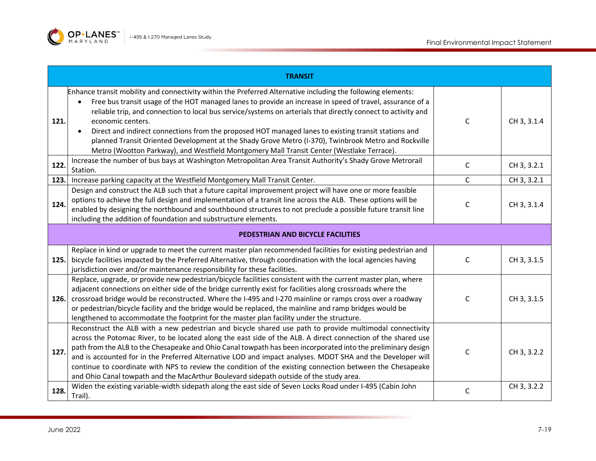

| <b>TRANSIT</b> |                                                                                                                                                                                                                                                                                                                                                                                                                                                                                                                                                                                                                                                                                           |             |             |  |
|----------------|-------------------------------------------------------------------------------------------------------------------------------------------------------------------------------------------------------------------------------------------------------------------------------------------------------------------------------------------------------------------------------------------------------------------------------------------------------------------------------------------------------------------------------------------------------------------------------------------------------------------------------------------------------------------------------------------|-------------|-------------|--|
| 121.           | Enhance transit mobility and connectivity within the Preferred Alternative including the following elements:<br>Free bus transit usage of the HOT managed lanes to provide an increase in speed of travel, assurance of a<br>reliable trip, and connection to local bus service/systems on arterials that directly connect to activity and<br>economic centers.<br>Direct and indirect connections from the proposed HOT managed lanes to existing transit stations and<br>$\bullet$<br>planned Transit Oriented Development at the Shady Grove Metro (I-370), Twinbrook Metro and Rockville<br>Metro (Wootton Parkway), and Westfield Montgomery Mall Transit Center (Westlake Terrace). | C           | CH 3, 3.1.4 |  |
| 122.           | Increase the number of bus bays at Washington Metropolitan Area Transit Authority's Shady Grove Metrorail<br>Station.                                                                                                                                                                                                                                                                                                                                                                                                                                                                                                                                                                     | $\mathsf C$ | CH 3, 3.2.1 |  |
| 123.           | Increase parking capacity at the Westfield Montgomery Mall Transit Center.                                                                                                                                                                                                                                                                                                                                                                                                                                                                                                                                                                                                                | C           | CH 3, 3.2.1 |  |
| 124.           | Design and construct the ALB such that a future capital improvement project will have one or more feasible<br>options to achieve the full design and implementation of a transit line across the ALB. These options will be<br>enabled by designing the northbound and southbound structures to not preclude a possible future transit line<br>including the addition of foundation and substructure elements.                                                                                                                                                                                                                                                                            | $\mathsf C$ | CH 3, 3.1.4 |  |
|                | PEDESTRIAN AND BICYCLE FACILITIES                                                                                                                                                                                                                                                                                                                                                                                                                                                                                                                                                                                                                                                         |             |             |  |
| 125.           | Replace in kind or upgrade to meet the current master plan recommended facilities for existing pedestrian and<br>bicycle facilities impacted by the Preferred Alternative, through coordination with the local agencies having<br>jurisdiction over and/or maintenance responsibility for these facilities.                                                                                                                                                                                                                                                                                                                                                                               | C           | CH 3, 3.1.5 |  |
| 126.           | Replace, upgrade, or provide new pedestrian/bicycle facilities consistent with the current master plan, where<br>adjacent connections on either side of the bridge currently exist for facilities along crossroads where the<br>crossroad bridge would be reconstructed. Where the I-495 and I-270 mainline or ramps cross over a roadway<br>or pedestrian/bicycle facility and the bridge would be replaced, the mainline and ramp bridges would be<br>lengthened to accommodate the footprint for the master plan facility under the structure.                                                                                                                                         | $\mathsf C$ | CH 3, 3.1.5 |  |
| 127.           | Reconstruct the ALB with a new pedestrian and bicycle shared use path to provide multimodal connectivity<br>across the Potomac River, to be located along the east side of the ALB. A direct connection of the shared use<br>path from the ALB to the Chesapeake and Ohio Canal towpath has been incorporated into the preliminary design<br>and is accounted for in the Preferred Alternative LOD and impact analyses. MDOT SHA and the Developer will<br>continue to coordinate with NPS to review the condition of the existing connection between the Chesapeake<br>and Ohio Canal towpath and the MacArthur Boulevard sidepath outside of the study area.                            | $\mathsf C$ | CH 3, 3.2.2 |  |
| 128.           | Widen the existing variable-width sidepath along the east side of Seven Locks Road under I-495 (Cabin John<br>Trail).                                                                                                                                                                                                                                                                                                                                                                                                                                                                                                                                                                     | C           | CH 3, 3.2.2 |  |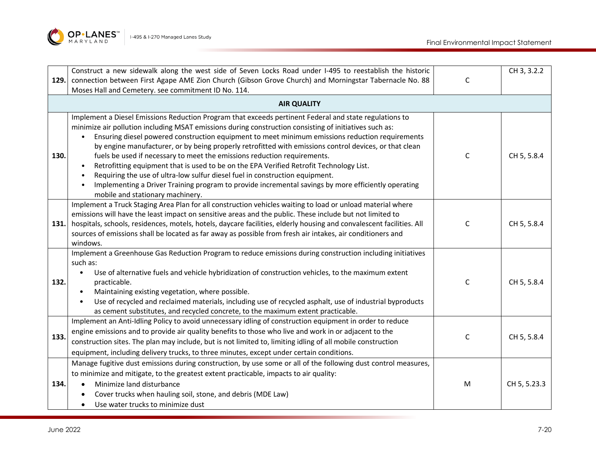

|      | Construct a new sidewalk along the west side of Seven Locks Road under I-495 to reestablish the historic                                                                                                                                                                                                                                                                                                                                                                                                                                                                                                                                                                                                                                                                                                                        |              | CH 3, 3.2.2  |
|------|---------------------------------------------------------------------------------------------------------------------------------------------------------------------------------------------------------------------------------------------------------------------------------------------------------------------------------------------------------------------------------------------------------------------------------------------------------------------------------------------------------------------------------------------------------------------------------------------------------------------------------------------------------------------------------------------------------------------------------------------------------------------------------------------------------------------------------|--------------|--------------|
| 129. | connection between First Agape AME Zion Church (Gibson Grove Church) and Morningstar Tabernacle No. 88                                                                                                                                                                                                                                                                                                                                                                                                                                                                                                                                                                                                                                                                                                                          | $\mathsf{C}$ |              |
|      | Moses Hall and Cemetery. see commitment ID No. 114.                                                                                                                                                                                                                                                                                                                                                                                                                                                                                                                                                                                                                                                                                                                                                                             |              |              |
|      | <b>AIR QUALITY</b>                                                                                                                                                                                                                                                                                                                                                                                                                                                                                                                                                                                                                                                                                                                                                                                                              |              |              |
| 130. | Implement a Diesel Emissions Reduction Program that exceeds pertinent Federal and state regulations to<br>minimize air pollution including MSAT emissions during construction consisting of initiatives such as:<br>Ensuring diesel powered construction equipment to meet minimum emissions reduction requirements<br>by engine manufacturer, or by being properly retrofitted with emissions control devices, or that clean<br>fuels be used if necessary to meet the emissions reduction requirements.<br>Retrofitting equipment that is used to be on the EPA Verified Retrofit Technology List.<br>Requiring the use of ultra-low sulfur diesel fuel in construction equipment.<br>Implementing a Driver Training program to provide incremental savings by more efficiently operating<br>mobile and stationary machinery. | C            | CH 5, 5.8.4  |
| 131. | Implement a Truck Staging Area Plan for all construction vehicles waiting to load or unload material where<br>emissions will have the least impact on sensitive areas and the public. These include but not limited to<br>hospitals, schools, residences, motels, hotels, daycare facilities, elderly housing and convalescent facilities. All<br>sources of emissions shall be located as far away as possible from fresh air intakes, air conditioners and<br>windows.                                                                                                                                                                                                                                                                                                                                                        | C            | CH 5, 5.8.4  |
| 132. | Implement a Greenhouse Gas Reduction Program to reduce emissions during construction including initiatives<br>such as:<br>Use of alternative fuels and vehicle hybridization of construction vehicles, to the maximum extent<br>$\bullet$<br>practicable.<br>Maintaining existing vegetation, where possible.<br>$\bullet$<br>Use of recycled and reclaimed materials, including use of recycled asphalt, use of industrial byproducts<br>$\bullet$<br>as cement substitutes, and recycled concrete, to the maximum extent practicable.                                                                                                                                                                                                                                                                                         | $\mathsf{C}$ | CH 5, 5.8.4  |
| 133. | Implement an Anti-Idling Policy to avoid unnecessary idling of construction equipment in order to reduce<br>engine emissions and to provide air quality benefits to those who live and work in or adjacent to the<br>construction sites. The plan may include, but is not limited to, limiting idling of all mobile construction<br>equipment, including delivery trucks, to three minutes, except under certain conditions.                                                                                                                                                                                                                                                                                                                                                                                                    | $\mathsf{C}$ | CH 5, 5.8.4  |
| 134. | Manage fugitive dust emissions during construction, by use some or all of the following dust control measures,<br>to minimize and mitigate, to the greatest extent practicable, impacts to air quality:<br>Minimize land disturbance<br>Cover trucks when hauling soil, stone, and debris (MDE Law)<br>Use water trucks to minimize dust                                                                                                                                                                                                                                                                                                                                                                                                                                                                                        | M            | CH 5, 5.23.3 |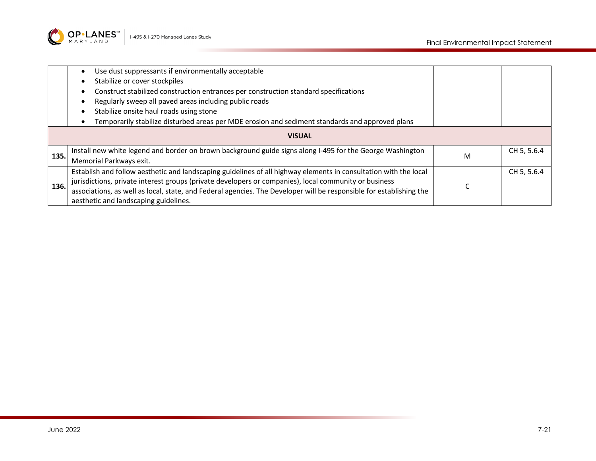

|               | Use dust suppressants if environmentally acceptable                                                                 |   |             |
|---------------|---------------------------------------------------------------------------------------------------------------------|---|-------------|
|               | Stabilize or cover stockpiles                                                                                       |   |             |
|               | Construct stabilized construction entrances per construction standard specifications                                |   |             |
|               | Regularly sweep all paved areas including public roads                                                              |   |             |
|               | Stabilize onsite haul roads using stone                                                                             |   |             |
|               | Temporarily stabilize disturbed areas per MDE erosion and sediment standards and approved plans                     |   |             |
| <b>VISUAL</b> |                                                                                                                     |   |             |
| 135.          | Install new white legend and border on brown background guide signs along I-495 for the George Washington           |   | CH 5, 5.6.4 |
|               | Memorial Parkways exit.                                                                                             | м |             |
|               | Establish and follow aesthetic and landscaping guidelines of all highway elements in consultation with the local    |   | CH 5, 5.6.4 |
| 136.          | jurisdictions, private interest groups (private developers or companies), local community or business               |   |             |
|               | associations, as well as local, state, and Federal agencies. The Developer will be responsible for establishing the |   |             |
|               | aesthetic and landscaping guidelines.                                                                               |   |             |